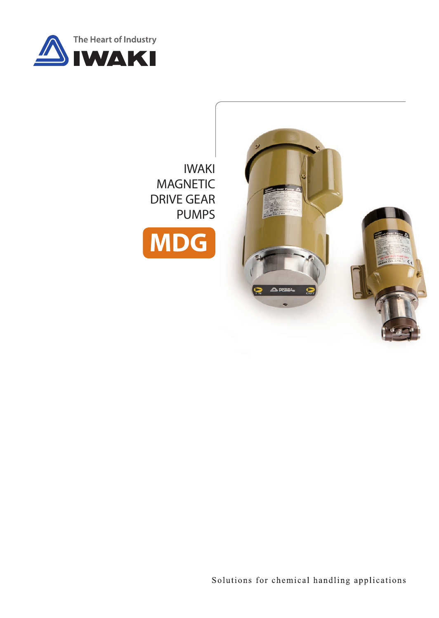

## IWAKI MAGNETIC DRIVE GEAR PUMPS





Solutions for chemical handling applications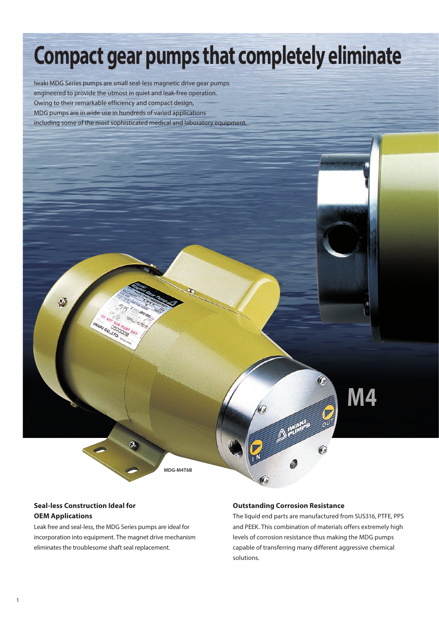# **Compact gear pumps that completely eliminate**

Iwaki MDG Series pumps are small seal-less magnetic drive gear pumps engineered to provide the utmost in quiet and leak-free operation. Owing to their remarkable efficiency and compact design, MDG pumps are in wide use in hundreds of varied applications including some of the most sophisticated medical and laboratory equipment.

**M4**

**MDG-M4T6B**

#### **Seal-less Construction Ideal for OEM Applications**

Ð

Leak free and seal-less, the MDG Series pumps are ideal for incorporation into equipment. The magnet drive mechanism eliminates the troublesome shaft seal replacement.

CO. LTD

#### **Outstanding Corrosion Resistance**

**DEVANGE OUT** 

The liquid end parts are manufactured from SUS316, PTFE, PPS and PEEK. This combination of materials offers extremely high levels of corrosion resistance thus making the MDG pumps capable of transferring many different aggressive chemical solutions.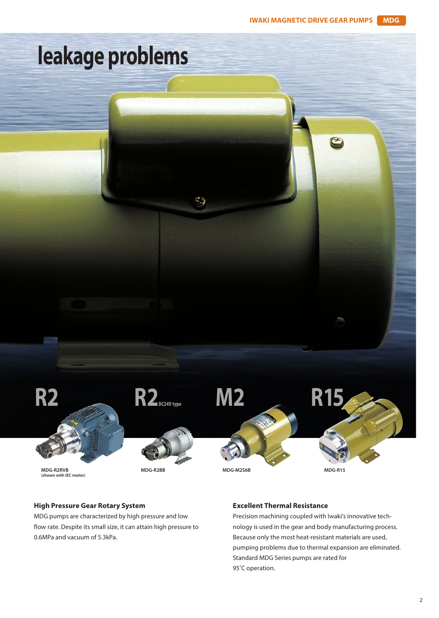

#### **High Pressure Gear Rotary System**

MDG pumps are characterized by high pressure and low flow rate. Despite its small size, it can attain high pressure to 0.6MPa and vacuum of 5.3kPa.

#### **Excellent Thermal Resistance**

Precision machining coupled with Iwaki's innovative technology is used in the gear and body manufacturing process. Because only the most heat-resistant materials are used, pumping problems due to thermal expansion are eliminated. Standard MDG Series pumps are rated for 95°C operation.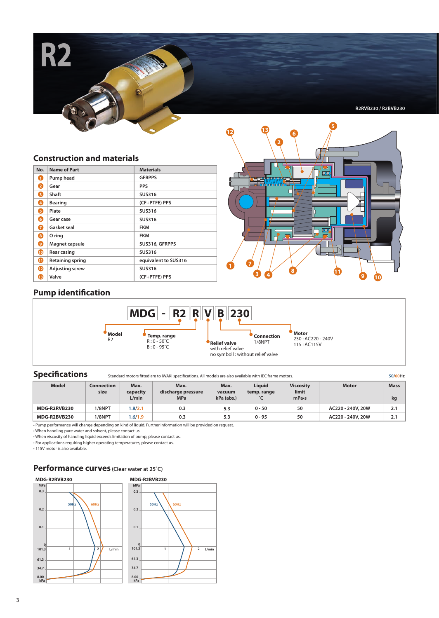**R2RVB230 / R2BVB230**

#### **Construction and materials**

**R2**

| No. | <b>Name of Part</b>     | <b>Materials</b>     |
|-----|-------------------------|----------------------|
| O   | Pump head               | <b>GFRPPS</b>        |
| 2   | Gear                    | <b>PPS</b>           |
| 0   | Shaft                   | <b>SUS316</b>        |
| Ø   | <b>Bearing</b>          | (CF+PTFE) PPS        |
| ß   | Plate                   | <b>SUS316</b>        |
| G   | Gear case               | <b>SUS316</b>        |
| 6   | Gasket seal             | <b>FKM</b>           |
| Θ   | O ring                  | <b>FKM</b>           |
| Ø   | Magnet capsule          | SUS316, GFRPPS       |
| ◍   | <b>Rear casing</b>      | <b>SUS316</b>        |
| ⊕   | <b>Retaining spring</b> | equivalent to SUS316 |
| ®   | <b>Adjusting screw</b>  | <b>SUS316</b>        |
| ®   | Valve                   | (CF+PTFE) PPS        |



#### **Pump identification**



#### **Specifications**

Standard motors fitted are to IWAKI specifications. All models are also available with IEC frame motors. **50/60Hz** 

| <b>Model</b> | Connection<br>size | Max.<br>capacity<br>L/min | Max.<br>discharge pressure<br><b>MPa</b> | Max.<br>vacuum<br>kPa (abs.) | Liauid<br>temp. range | <b>Viscosity</b><br>limit<br>$mPa-s$ | <b>Motor</b>      | <b>Mass</b><br>kg |
|--------------|--------------------|---------------------------|------------------------------------------|------------------------------|-----------------------|--------------------------------------|-------------------|-------------------|
| MDG-R2RVB230 | 1/8NPT             | .8/2.1                    | 0.3                                      | 5.3                          | $0 - 50$              | 50                                   | AC220 - 240V, 20W | 2.1               |
| MDG-R2BVB230 | 1/8NPT             | .6/1.9                    | 0.3                                      | 5.3                          | $0 - 95$              | 50                                   | AC220 - 240V, 20W | 2.1               |

• Pump performance will change depending on kind of liquid. Further information will be provided on request. • When handling pure water and solvent, please contact us.

• When viscosity of handling liquid exceeds limitation of pump, please contact us. • For applications requiring higher operating temperatures, please contact us.

• 115V motor is also available.

### **Performance curves (Clear water at 25˚C)**

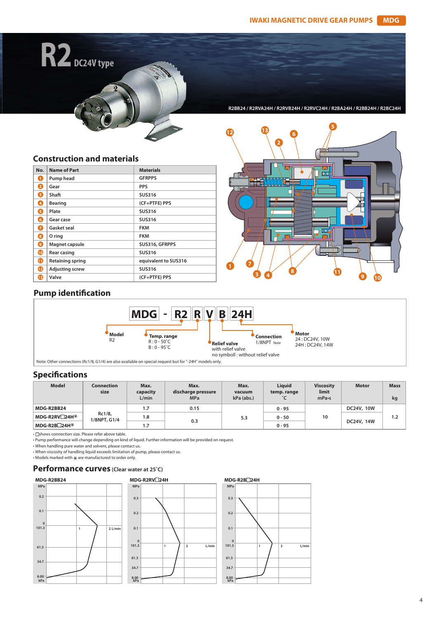**Construction and materials**

**R2 DC24V type**

| No. | Name of Part            | <b>Materials</b>     |
|-----|-------------------------|----------------------|
| O   | Pump head               | <b>GFRPPS</b>        |
| 2   | Gear                    | <b>PPS</b>           |
| 8   | Shaft                   | <b>SUS316</b>        |
| Ø   | <b>Bearing</b>          | (CF+PTFE) PPS        |
| ß   | Plate                   | <b>SUS316</b>        |
| ß   | Gear case               | <b>SUS316</b>        |
| 6   | Gasket seal             | <b>FKM</b>           |
| 0   | O ring                  | <b>FKM</b>           |
| O   | Magnet capsule          | SUS316, GFRPPS       |
| ⊕   | <b>Rear casing</b>      | <b>SUS316</b>        |
| ⊕   | <b>Retaining spring</b> | equivalent to SUS316 |
| ⊕   | <b>Adjusting screw</b>  | <b>SUS316</b>        |
| B   | Valve                   | (CF+PTFE) PPS        |



**R2BB24 / R2RVA24H / R2RVB24H / R2RVC24H / R2BA24H / R2BB24H / R2BC24H**

#### **Pump identification**



Note: Other connections (Rc1/8, G1/4) are also available on special request but for "-24H" models only.

#### **Specifications**

| <b>Model</b>  | Connection<br>size     | Max.<br>capacity<br>L/min | Max.<br>discharge pressure<br><b>MPa</b> | Max.<br>vacuum<br>kPa (abs.) | <b>Liauid</b><br>temp. range | <b>Viscosity</b><br>limit<br>mPa-s | <b>Motor</b> | <b>Mass</b><br>kg |
|---------------|------------------------|---------------------------|------------------------------------------|------------------------------|------------------------------|------------------------------------|--------------|-------------------|
| MDG-R2BB24    |                        | 1.7                       | 0.15                                     |                              | $0 - 95$                     | 10                                 | DC24V, 10W   | 1.2               |
| MDG-R2RV□24H* | Rc1/8,<br>1/8NPT, G1/4 | 1.8                       | 0.3                                      | 5.3                          | $0 - 50$                     |                                    | DC24V, 14W   |                   |
| MDG-R2B□24H*  |                        | 1.7                       |                                          |                              | $0 - 95$                     |                                    |              |                   |

 $\cdot$   $\Box$ shows connection size. Please refer above table.

• Pump performance will change depending on kind of liquid. Further information will be provided on request.

• When handling pure water and solvent, please contact us.

• When viscosity of handling liquid exceeds limitation of pump, please contact us.

 $\bullet$  Models marked with  $\frac{1}{\mathcal{X}}$  are manufactured to order only.

#### **Performance curves (Clear water at 25˚C)**





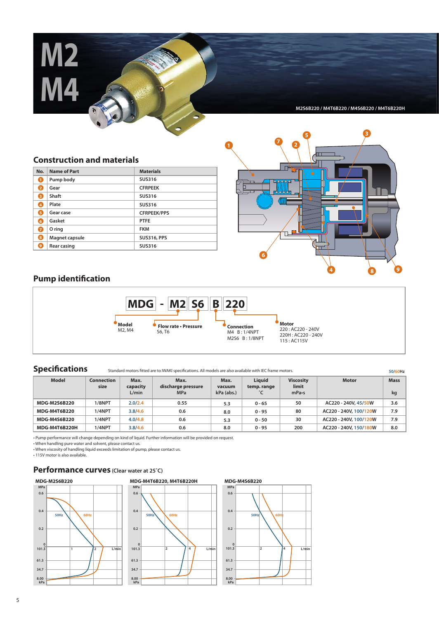**M2 M4**

**M2S6B220 / M4T6B220 / M4S6B220 / M4T6B220H**

#### **Construction and materials**

| No.            | <b>Name of Part</b> | <b>Materials</b>   |
|----------------|---------------------|--------------------|
| .1             | Pump body           | <b>SUS316</b>      |
| 2              | Gear                | <b>CFRPEEK</b>     |
| 3.             | Shaft               | <b>SUS316</b>      |
| $\overline{4}$ | Plate               | <b>SUS316</b>      |
| 5              | Gear case           | <b>CFRPEEK/PPS</b> |
| 6.             | Gasket              | <b>PTFE</b>        |
| 7              | O ring              | <b>FKM</b>         |
| 8.             | Magnet capsule      | <b>SUS316, PPS</b> |
| 9              | Rear casing         | <b>SUS316</b>      |



#### **Pump identification**



Specifications Standard motors fitted are to IWAKI specifications. All models are also available with IEC frame motors.

| Model               | <b>Connection</b><br>size | Max.<br>capacity<br>L/min | Max.<br>discharge pressure<br><b>MPa</b> | Max.<br>vacuum<br>kPa (abs.) | Liauid<br>temp. range | <b>Viscosity</b><br>limit<br>mPa <sub>.s</sub> | <b>Motor</b>           | <b>Mass</b><br>kg |
|---------------------|---------------------------|---------------------------|------------------------------------------|------------------------------|-----------------------|------------------------------------------------|------------------------|-------------------|
| <b>MDG-M2S6B220</b> | 1/8NPT                    | 2.0/2.4                   | 0.55                                     | 5.3                          | $0 - 65$              | 50                                             | AC220 - 240V, 45/50W   | 3.6               |
| <b>MDG-M4T6B220</b> | 1/4NPT                    | 3.8/4.6                   | 0.6                                      | 8.0                          | $0 - 95$              | 80                                             | AC220 - 240V, 100/120W | 7.9               |
| <b>MDG-M4S6B220</b> | 1/4NPT                    | 4.0/4.8                   | 0.6                                      | 5.3                          | $0 - 50$              | 30                                             | AC220 - 240V, 100/120W | 7.9               |
| MDG-M4T6B220H       | 1/4NPT                    | 3.8/4.6                   | 0.6                                      | 8.0                          | $0 - 95$              | 200                                            | AC220 - 240V, 150/180W | 8.0               |

• Pump performance will change depending on kind of liquid. Further information will be provided on request. • When handling pure water and solvent, please contact us.

• When viscosity of handling liquid exceeds limitation of pump, please contact us.

• 115V motor is also available.

#### **Performance curves (Clear water at 25˚C)**





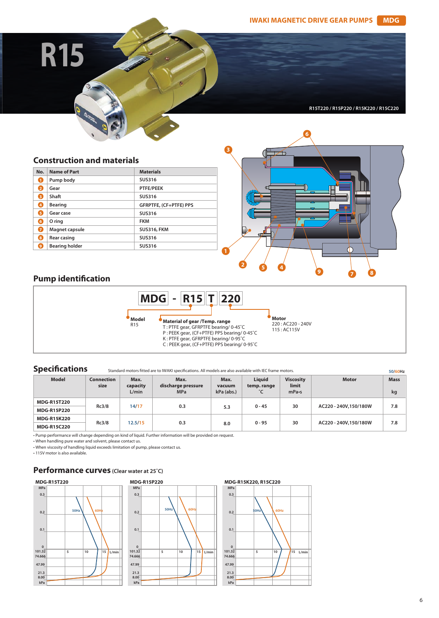**R15**

## **R15T220 / R15P220 / R15K220 / R15C220**

#### **Construction and materials**

| No. | <b>Name of Part</b>   | <b>Materials</b>       |
|-----|-----------------------|------------------------|
| n   | Pump body             | <b>SUS316</b>          |
| 2   | Gear                  | <b>PTFE/PEEK</b>       |
| B   | Shaft                 | <b>SUS316</b>          |
| Ø   | <b>Bearing</b>        | GFRPTFE, (CF+PTFE) PPS |
| 5   | Gear case             | <b>SUS316</b>          |
| 6.  | O ring                | <b>FKM</b>             |
| Ω   | Magnet capsule        | <b>SUS316, FKM</b>     |
| 8.  | <b>Rear casing</b>    | <b>SUS316</b>          |
| 9   | <b>Bearing holder</b> | <b>SUS316</b>          |



#### **Pump identification**



**Specifications** Standard motors fitted are to IWAKI specifications. All models are also available with IEC frame motors.

| <b>Model</b>       | <b>Connection</b><br>size | Max.<br>capacity<br>L/min | Max.<br>discharge pressure<br><b>MPa</b> | Max.<br>vacuum<br>kPa (abs.) | Liauid<br>temp. range<br>°C | <b>Viscosity</b><br>limit<br>mPa <sub>s</sub> | <b>Motor</b>          | <b>Mass</b><br>kg |
|--------------------|---------------------------|---------------------------|------------------------------------------|------------------------------|-----------------------------|-----------------------------------------------|-----------------------|-------------------|
| <b>MDG-R15T220</b> | Rc3/8                     | 14/17                     | 0.3                                      |                              |                             | 30                                            | AC220 - 240V,150/180W | 7.8               |
| <b>MDG-R15P220</b> |                           |                           |                                          | 5.3                          | $0 - 45$                    |                                               |                       |                   |
| <b>MDG-R15K220</b> |                           |                           |                                          |                              |                             |                                               |                       |                   |
| <b>MDG-R15C220</b> | Rc3/8                     | 12.5/15                   | 0.3                                      | 8.0                          | $0 - 95$                    | 30                                            | AC220 - 240V,150/180W | 7.8               |

• Pump performance will change depending on kind of liquid. Further information will be provided on request.

• When handling pure water and solvent, please contact us.

• When viscosity of handling liquid exceeds limitation of pump, please contact us.

• 115V motor is also available.

#### **Performance curves (Clear water at 25˚C)**







**50/60Hz**